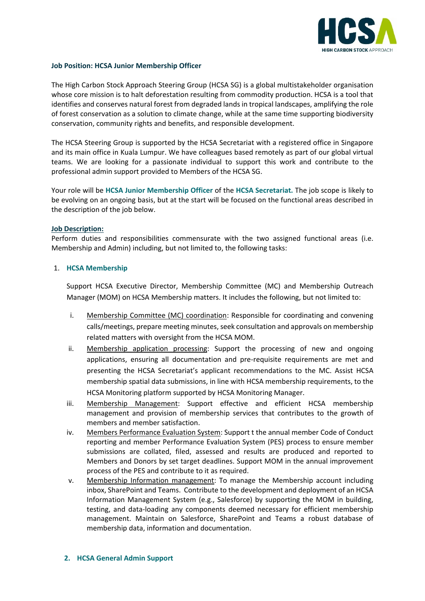

### **Job Position: HCSA Junior Membership Officer**

The High Carbon Stock Approach Steering Group (HCSA SG) is a global multistakeholder organisation whose core mission is to halt deforestation resulting from commodity production. HCSA is a tool that identifies and conserves natural forest from degraded lands in tropical landscapes, amplifying the role of forest conservation as a solution to climate change, while at the same time supporting biodiversity conservation, community rights and benefits, and responsible development.

The HCSA Steering Group is supported by the HCSA Secretariat with a registered office in Singapore and its main office in Kuala Lumpur. We have colleagues based remotely as part of our global virtual teams. We are looking for a passionate individual to support this work and contribute to the professional admin support provided to Members of the HCSA SG.

Your role will be **HCSA Junior Membership Officer** of the **HCSA Secretariat.** The job scope is likely to be evolving on an ongoing basis, but at the start will be focused on the functional areas described in the description of the job below.

### **Job Description:**

Perform duties and responsibilities commensurate with the two assigned functional areas (i.e. Membership and Admin) including, but not limited to, the following tasks:

### 1. **HCSA Membership**

Support HCSA Executive Director, Membership Committee (MC) and Membership Outreach Manager (MOM) on HCSA Membership matters. It includes the following, but not limited to:

- i. Membership Committee (MC) coordination: Responsible for coordinating and convening calls/meetings, prepare meeting minutes, seek consultation and approvals on membership related matters with oversight from the HCSA MOM.
- ii. Membership application processing: Support the processing of new and ongoing applications, ensuring all documentation and pre-requisite requirements are met and presenting the HCSA Secretariat's applicant recommendations to the MC. Assist HCSA membership spatial data submissions, in line with HCSA membership requirements, to the HCSA Monitoring platform supported by HCSA Monitoring Manager.
- iii. Membership Management: Support effective and efficient HCSA membership management and provision of membership services that contributes to the growth of members and member satisfaction.
- iv. Members Performance Evaluation System: Support t the annual member Code of Conduct reporting and member Performance Evaluation System (PES) process to ensure member submissions are collated, filed, assessed and results are produced and reported to Members and Donors by set target deadlines. Support MOM in the annual improvement process of the PES and contribute to it as required.
- v. Membership Information management: To manage the Membership account including inbox, SharePoint and Teams. Contribute to the development and deployment of an HCSA Information Management System (e.g., Salesforce) by supporting the MOM in building, testing, and data-loading any components deemed necessary for efficient membership management. Maintain on Salesforce, SharePoint and Teams a robust database of membership data, information and documentation.

### **2. HCSA General Admin Support**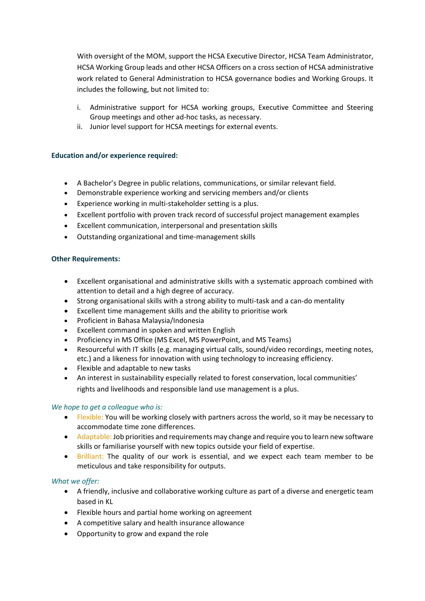With oversight of the MOM, support the HCSA Executive Director, HCSA Team Administrator, HCSA Working Group leads and other HCSA Officers on a cross section of HCSA administrative work related to General Administration to HCSA governance bodies and Working Groups. It includes the following, but not limited to:

- i. Administrative support for HCSA working groups, Executive Committee and Steering Group meetings and other ad-hoc tasks, as necessary.
- ii. Junior level support for HCSA meetings for external events.

## **Education and/or experience required:**

- A Bachelor's Degree in public relations, communications, or similar relevant field.
- Demonstrable experience working and servicing members and/or clients
- Experience working in multi-stakeholder setting is a plus.
- Excellent portfolio with proven track record of successful project management examples
- Excellent communication, interpersonal and presentation skills
- Outstanding organizational and time-management skills

## **Other Requirements:**

- Excellent organisational and administrative skills with a systematic approach combined with attention to detail and a high degree of accuracy.
- Strong organisational skills with a strong ability to multi-task and a can-do mentality
- Excellent time management skills and the ability to prioritise work
- Proficient in Bahasa Malaysia/Indonesia
- Excellent command in spoken and written English
- Proficiency in MS Office (MS Excel, MS PowerPoint, and MS Teams)
- Resourceful with IT skills (e.g. managing virtual calls, sound/video recordings, meeting notes, etc.) and a likeness for innovation with using technology to increasing efficiency.
- Flexible and adaptable to new tasks
- An interest in sustainability especially related to forest conservation, local communities' rights and livelihoods and responsible land use management is a plus.

## *We hope to get a colleague who is:*

- Flexible: You will be working closely with partners across the world, so it may be necessary to accommodate time zone differences.
- Adaptable: Job priorities and requirements may change and require you to learn new software skills or familiarise yourself with new topics outside your field of expertise.
- Brilliant: The quality of our work is essential, and we expect each team member to be meticulous and take responsibility for outputs.

## *What we offer:*

- A friendly, inclusive and collaborative working culture as part of a diverse and energetic team based in KL
- Flexible hours and partial home working on agreement
- A competitive salary and health insurance allowance
- Opportunity to grow and expand the role